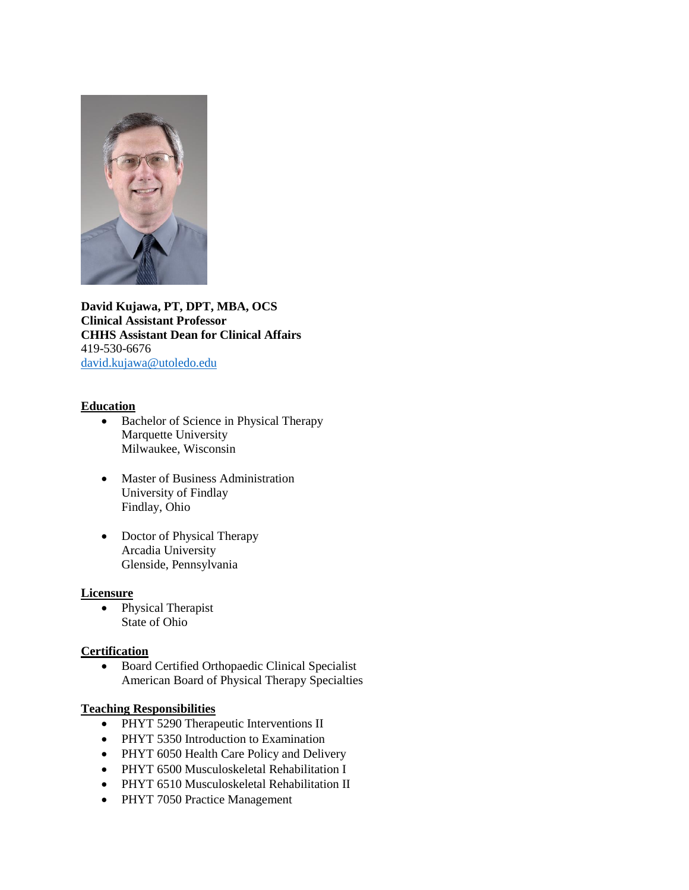

**David Kujawa, PT, DPT, MBA, OCS Clinical Assistant Professor CHHS Assistant Dean for Clinical Affairs** 419-530-6676 [david.kujawa@utoledo.edu](mailto:david.kujawa@utoledo.edu)

### **Education**

- Bachelor of Science in Physical Therapy Marquette University Milwaukee, Wisconsin
- Master of Business Administration University of Findlay Findlay, Ohio
- Doctor of Physical Therapy Arcadia University Glenside, Pennsylvania

### **Licensure**

• Physical Therapist State of Ohio

### **Certification**

 Board Certified Orthopaedic Clinical Specialist American Board of Physical Therapy Specialties

### **Teaching Responsibilities**

- PHYT 5290 Therapeutic Interventions II
- PHYT 5350 Introduction to Examination
- PHYT 6050 Health Care Policy and Delivery
- PHYT 6500 Musculoskeletal Rehabilitation I
- PHYT 6510 Musculoskeletal Rehabilitation II
- PHYT 7050 Practice Management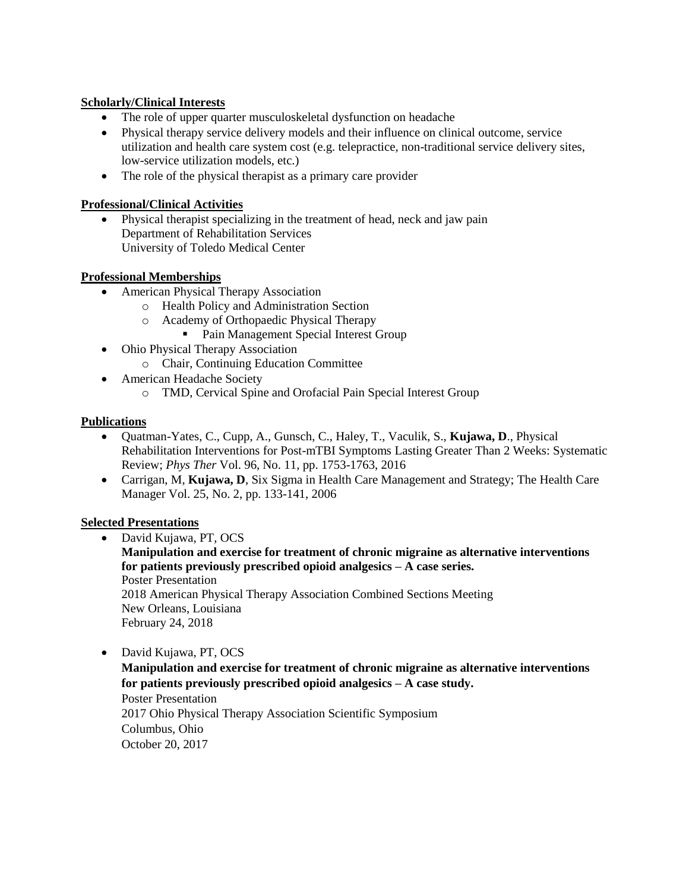# **Scholarly/Clinical Interests**

- The role of upper quarter musculoskeletal dysfunction on headache
- Physical therapy service delivery models and their influence on clinical outcome, service utilization and health care system cost (e.g. telepractice, non-traditional service delivery sites, low-service utilization models, etc.)
- The role of the physical therapist as a primary care provider

## **Professional/Clinical Activities**

 Physical therapist specializing in the treatment of head, neck and jaw pain Department of Rehabilitation Services University of Toledo Medical Center

## **Professional Memberships**

- American Physical Therapy Association
	- o Health Policy and Administration Section
	- o Academy of Orthopaedic Physical Therapy
		- **Pain Management Special Interest Group**
- Ohio Physical Therapy Association
	- o Chair, Continuing Education Committee
- American Headache Society
	- o TMD, Cervical Spine and Orofacial Pain Special Interest Group

### **Publications**

- Quatman-Yates, C., Cupp, A., Gunsch, C., Haley, T., Vaculik, S., **Kujawa, D**., Physical Rehabilitation Interventions for Post-mTBI Symptoms Lasting Greater Than 2 Weeks: Systematic Review; *Phys Ther* Vol. 96, No. 11, pp. 1753-1763, 2016
- Carrigan, M, **Kujawa, D**, Six Sigma in Health Care Management and Strategy; The Health Care Manager Vol. 25, No. 2, pp. 133-141, 2006

# **Selected Presentations**

- David Kujawa, PT, OCS **Manipulation and exercise for treatment of chronic migraine as alternative interventions for patients previously prescribed opioid analgesics – A case series.** Poster Presentation 2018 American Physical Therapy Association Combined Sections Meeting New Orleans, Louisiana February 24, 2018
- David Kujawa, PT, OCS
	- **Manipulation and exercise for treatment of chronic migraine as alternative interventions for patients previously prescribed opioid analgesics – A case study.** Poster Presentation

2017 Ohio Physical Therapy Association Scientific Symposium Columbus, Ohio October 20, 2017